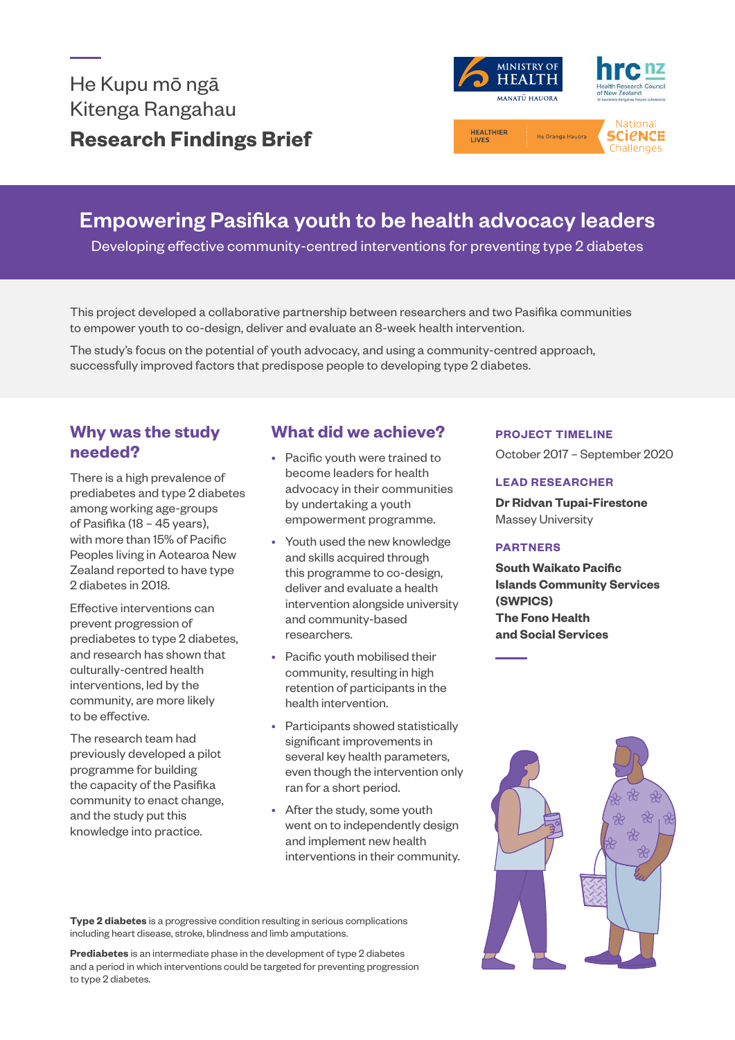

# Empowering Pasifika youth to be health advocacy leaders

Developing effective community-centred interventions for preventing type 2 diabetes

This project developed a collaborative partnership between researchers and two Pasifika communities to empower youth to co-design, deliver and evaluate an 8-week health intervention.<br>

The study's focus on the potential of youth advocacy, and using a community-centred approach, successfully improved factors that predispose people to developing type 2 diabetes.

# **Why was the study needed?**

There is a high prevalence of prediabetes and type 2 diabetes among working age-groups of Pasifika (18 – 45 years), with more than 15% of Pacific Peoples living in Aotearoa New Zealand reported to have type 2 diabetes in 2018.

Effective interventions can prevent progression of prediabetes to type 2 diabetes, and research has shown that culturally-centred health interventions, led by the community, are more likely to be effective.

The research team had previously developed a pilot programme for building the capacity of the Pasifika community to enact change, and the study put this knowledge into practice.

# **What did we achieve?**

- Pacific youth were trained to become leaders for health advocacy in their communities by undertaking a youth empowerment programme.
- Youth used the new knowledge and skills acquired through this programme to co-design, deliver and evaluate a health intervention alongside university and community-based researchers.
- Pacific youth mobilised their community, resulting in high retention of participants in the health intervention.
- Participants showed statistically significant improvements in several key health parameters, even though the intervention only ran for a short period.
- After the study, some youth went on to independently design and implement new health interventions in their community.

#### **PROJECT TIMELINE**

October 2017 – September 2020

#### **LEAD RESEARCHER**

**Dr Ridvan Tupai-Firestone**  Massey University

#### **PARTNERS**

**South Waikato Pacific Islands Community Services (SWPICS) The Fono Health and Social Services**



**Type 2 diabetes** is a progressive condition resulting in serious complications including heart disease, stroke, blindness and limb amputations.

**Prediabetes** is an intermediate phase in the development of type 2 diabetes and a period in which interventions could be targeted for preventing progression to type 2 diabetes.